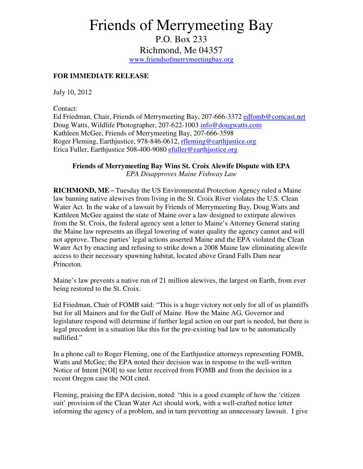## Friends of Merrymeeting Bay

P.O. Box 233 Richmond, Me 04357 www.friendsofmerrymeetingbay.org

## **FOR IMMEDIATE RELEASE**

July 10, 2012

Contact:

Ed Friedman, Chair, Friends of Merrymeeting Bay, 207-666-3372 edfomb@comcast.net Doug Watts, Wildlife Photographer, 207-622-1003 info@dougwatts.com Kathleen McGee, Friends of Merrymeeting Bay, 207-666-3598 Roger Fleming, Earthjustice, 978-846-0612, rfleming@earthjustice.org Erica Fuller, Earthjustice 508-400-9080 efuller@earthjustice.org

## **Friends of Merrymeeting Bay Wins St. Croix Alewife Dispute with EPA**  *EPA Disapproves Maine Fishway Law*

**RICHMOND, ME** – Tuesday the US Environmental Protection Agency ruled a Maine law banning native alewives from living in the St. Croix River violates the U.S. Clean Water Act. In the wake of a lawsuit by Friends of Merrymeeting Bay, Doug Watts and Kathleen McGee against the state of Maine over a law designed to extirpate alewives from the St. Croix, the federal agency sent a letter to Maine's Attorney General stating the Maine law represents an illegal lowering of water quality the agency cannot and will not approve. These parties' legal actions asserted Maine and the EPA violated the Clean Water Act by enacting and refusing to strike down a 2008 Maine law eliminating alewife access to their necessary spawning habitat, located above Grand Falls Dam near Princeton.

Maine's law prevents a native run of 21 million alewives, the largest on Earth, from ever being restored to the St. Croix.

Ed Friedman, Chair of FOMB said: "This is a huge victory not only for all of us plaintiffs but for all Mainers and for the Gulf of Maine. How the Maine AG, Governor and legislature respond will determine if further legal action on our part is needed, but there is legal precedent in a situation like this for the pre-existing bad law to be automatically nullified."

In a phone call to Roger Fleming, one of the Earthjustice attorneys representing FOMB, Watts and McGee; the EPA noted their decision was in response to the well-written Notice of Intent [NOI] to sue letter received from FOMB and from the decision in a recent Oregon case the NOI cited.

Fleming, praising the EPA decision, noted: "this is a good example of how the 'citizen suit' provision of the Clean Water Act should work, with a well-crafted notice letter informing the agency of a problem, and in turn preventing an unnecessary lawsuit. I give